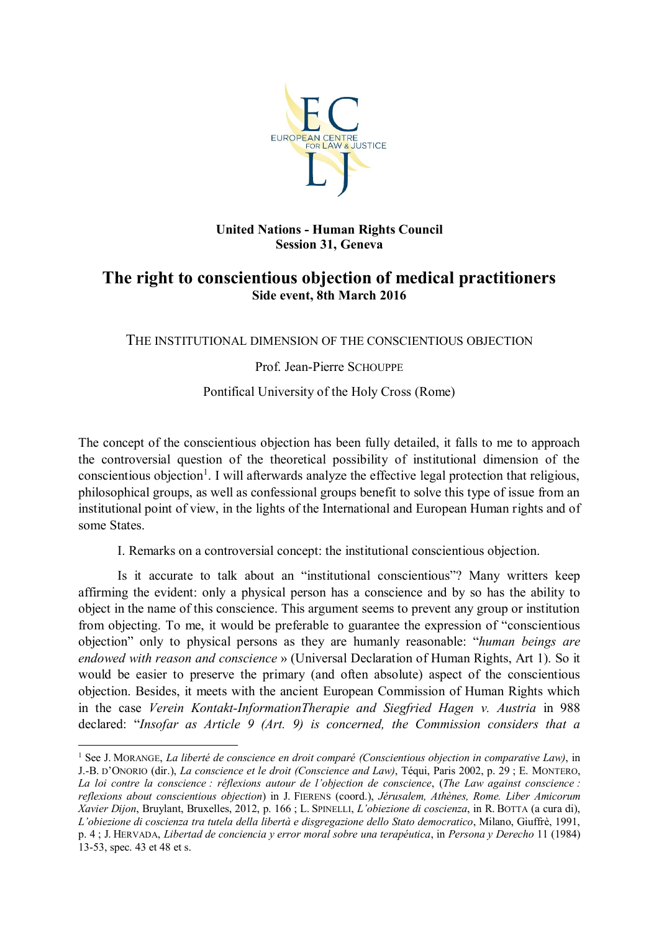

#### **United Nations - Human Rights Council Session 31, Geneva**

# **The right to conscientious objection of medical practitioners Side event, 8th March 2016**

THE INSTITUTIONAL DIMENSION OF THE CONSCIENTIOUS OBJECTION

# Prof. Jean-Pierre SCHOUPPE

# Pontifical University of the Holy Cross (Rome)

The concept of the conscientious objection has been fully detailed, it falls to me to approach the controversial question of the theoretical possibility of institutional dimension of the conscientious objection<sup>1</sup>. I will afterwards analyze the effective legal protection that religious, philosophical groups, as well as confessional groups benefit to solve this type of issue from an institutional point of view, in the lights of the International and European Human rights and of some States.

I. Remarks on a controversial concept: the institutional conscientious objection.

Is it accurate to talk about an "institutional conscientious"? Many writters keep affirming the evident: only a physical person has a conscience and by so has the ability to object in the name of this conscience. This argument seems to prevent any group or institution from objecting. To me, it would be preferable to guarantee the expression of "conscientious objection" only to physical persons as they are humanly reasonable: "*human beings are endowed with reason and conscience* » (Universal Declaration of Human Rights, Art 1). So it would be easier to preserve the primary (and often absolute) aspect of the conscientious objection. Besides, it meets with the ancient European Commission of Human Rights which in the case *Verein Kontakt-InformationTherapie and Siegfried Hagen v. Austria* in 988 declared: "*Insofar as Article 9 (Art. 9) is concerned, the Commission considers that a* 

 $\ddot{\phantom{a}}$ 

<sup>1</sup> See J. MORANGE, *La liberté de conscience en droit comparé (Conscientious objection in comparative Law)*, in J.-B. D'ONORIO (dir.), *La conscience et le droit (Conscience and Law)*, Téqui, Paris 2002, p. 29 ; E. MONTERO, *La loi contre la conscience : réflexions autour de l'objection de conscience*, (*The Law against conscience : reflexions about conscientious objection*) in J. FIERENS (coord.), *Jérusalem, Athènes, Rome. Liber Amicorum Xavier Dijon*, Bruylant, Bruxelles, 2012, p. 166 ; L. SPINELLI, *L'obiezione di coscienza*, in R. BOTTA (a cura di), *L'obiezione di coscienza tra tutela della libertà e disgregazione dello Stato democratico*, Milano, Giuffrè, 1991, p. 4 ; J. HERVADA, *Libertad de conciencia y error moral sobre una terapéutica*, in *Persona y Derecho* 11 (1984) 13-53, spec. 43 et 48 et s.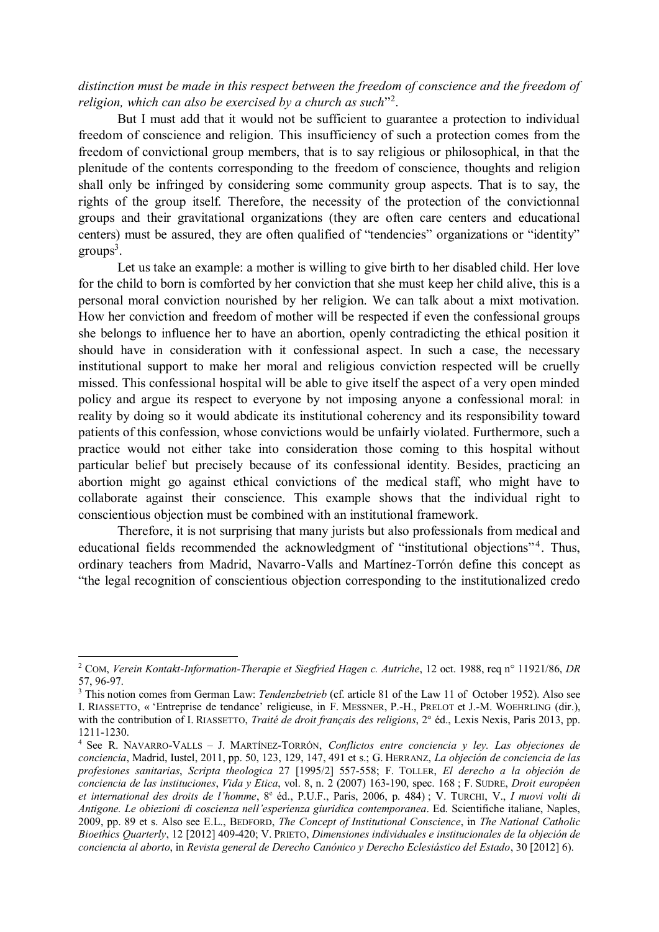### *distinction must be made in this respect between the freedom of conscience and the freedom of*  religion, which can also be exercised by a church as such"<sup>2</sup>.

But I must add that it would not be sufficient to guarantee a protection to individual freedom of conscience and religion. This insufficiency of such a protection comes from the freedom of convictional group members, that is to say religious or philosophical, in that the plenitude of the contents corresponding to the freedom of conscience, thoughts and religion shall only be infringed by considering some community group aspects. That is to say, the rights of the group itself. Therefore, the necessity of the protection of the convictionnal groups and their gravitational organizations (they are often care centers and educational centers) must be assured, they are often qualified of "tendencies" organizations or "identity"  $groups<sup>3</sup>$ .

Let us take an example: a mother is willing to give birth to her disabled child. Her love for the child to born is comforted by her conviction that she must keep her child alive, this is a personal moral conviction nourished by her religion. We can talk about a mixt motivation. How her conviction and freedom of mother will be respected if even the confessional groups she belongs to influence her to have an abortion, openly contradicting the ethical position it should have in consideration with it confessional aspect. In such a case, the necessary institutional support to make her moral and religious conviction respected will be cruelly missed. This confessional hospital will be able to give itself the aspect of a very open minded policy and argue its respect to everyone by not imposing anyone a confessional moral: in reality by doing so it would abdicate its institutional coherency and its responsibility toward patients of this confession, whose convictions would be unfairly violated. Furthermore, such a practice would not either take into consideration those coming to this hospital without particular belief but precisely because of its confessional identity. Besides, practicing an abortion might go against ethical convictions of the medical staff, who might have to collaborate against their conscience. This example shows that the individual right to conscientious objection must be combined with an institutional framework.

Therefore, it is not surprising that many jurists but also professionals from medical and educational fields recommended the acknowledgment of "institutional objections"<sup>4</sup>. Thus, ordinary teachers from Madrid, Navarro-Valls and Martínez-Torrón define this concept as "the legal recognition of conscientious objection corresponding to the institutionalized credo

 $\overline{a}$ 

<sup>2</sup> COM, *Verein Kontakt-Information-Therapie et Siegfried Hagen c. Autriche*, 12 oct. 1988, req n° 11921/86, *DR* 57, 96-97.

<sup>3</sup> This notion comes from German Law: *Tendenzbetrieb* (cf. article 81 of the Law 11 of October 1952). Also see I. RIASSETTO, « 'Entreprise de tendance' religieuse, in F. MESSNER, P.-H., PRELOT et J.-M. WOEHRLING (dir.), with the contribution of I. RIASSETTO, *Traité de droit français des religions*, 2° éd., Lexis Nexis, Paris 2013, pp. 1211-1230.

<sup>4</sup> See R. NAVARRO-VALLS – J. MARTÍNEZ-TORRÓN, *Conflictos entre conciencia y ley. Las objeciones de conciencia*, Madrid, Iustel, 2011, pp. 50, 123, 129, 147, 491 et s.; G. HERRANZ, *La objeción de conciencia de las profesiones sanitarias*, *Scripta theologica* 27 [1995/2] 557-558; F. TOLLER, *El derecho a la objeción de conciencia de las instituciones*, *Vida y Etica*, vol. 8, n. 2 (2007) 163-190, spec. 168 ; F. SUDRE, *Droit européen et international des droits de l'homme*, 8<sup>e</sup> éd., P.U.F., Paris, 2006, p. 484) ; V. TURCHI, V., *I nuovi volti di Antigone. Le obiezioni di coscienza nell'esperienza giuridica contemporanea*. Ed. Scientifiche italiane, Naples, 2009, pp. 89 et s. Also see E.L., BEDFORD, *The Concept of Institutional Conscience*, in *The National Catholic Bioethics Quarterly*, 12 [2012] 409-420; V. PRIETO, *Dimensiones individuales e institucionales de la objeción de conciencia al aborto*, in *Revista general de Derecho Canónico y Derecho Eclesiástico del Estado*, 30 [2012] 6).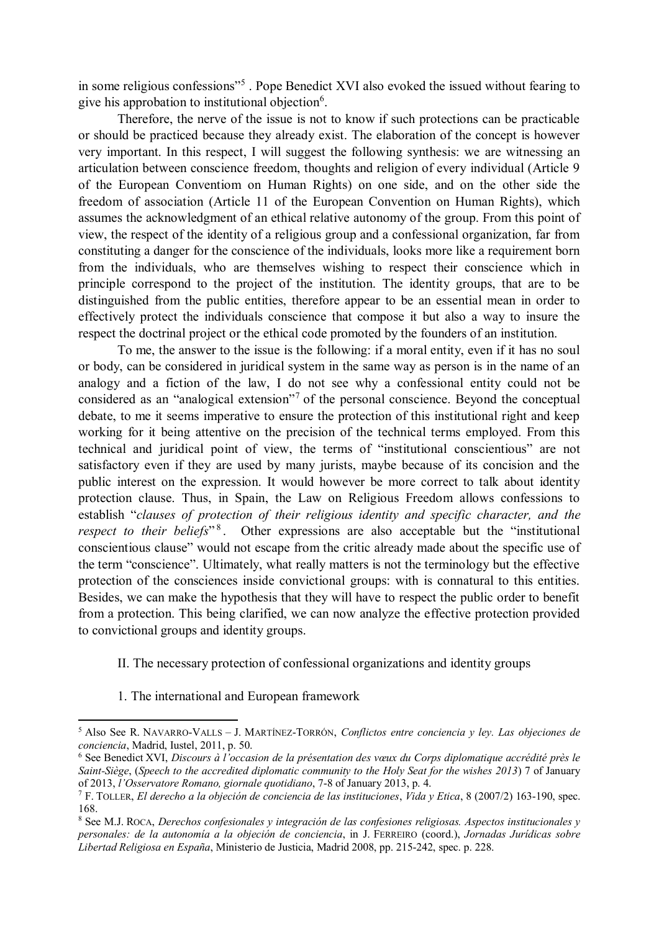in some religious confessions"<sup>5</sup>. Pope Benedict XVI also evoked the issued without fearing to give his approbation to institutional objection<sup>6</sup>.

Therefore, the nerve of the issue is not to know if such protections can be practicable or should be practiced because they already exist. The elaboration of the concept is however very important. In this respect, I will suggest the following synthesis: we are witnessing an articulation between conscience freedom, thoughts and religion of every individual (Article 9 of the European Conventiom on Human Rights) on one side, and on the other side the freedom of association (Article 11 of the European Convention on Human Rights), which assumes the acknowledgment of an ethical relative autonomy of the group. From this point of view, the respect of the identity of a religious group and a confessional organization, far from constituting a danger for the conscience of the individuals, looks more like a requirement born from the individuals, who are themselves wishing to respect their conscience which in principle correspond to the project of the institution. The identity groups, that are to be distinguished from the public entities, therefore appear to be an essential mean in order to effectively protect the individuals conscience that compose it but also a way to insure the respect the doctrinal project or the ethical code promoted by the founders of an institution.

To me, the answer to the issue is the following: if a moral entity, even if it has no soul or body, can be considered in juridical system in the same way as person is in the name of an analogy and a fiction of the law, I do not see why a confessional entity could not be considered as an "analogical extension"<sup>7</sup> of the personal conscience. Beyond the conceptual debate, to me it seems imperative to ensure the protection of this institutional right and keep working for it being attentive on the precision of the technical terms employed. From this technical and juridical point of view, the terms of "institutional conscientious" are not satisfactory even if they are used by many jurists, maybe because of its concision and the public interest on the expression. It would however be more correct to talk about identity protection clause. Thus, in Spain, the Law on Religious Freedom allows confessions to establish "*clauses of protection of their religious identity and specific character, and the*  respect to their beliefs<sup>"8</sup>. Other expressions are also acceptable but the "institutional conscientious clause" would not escape from the critic already made about the specific use of the term "conscience". Ultimately, what really matters is not the terminology but the effective protection of the consciences inside convictional groups: with is connatural to this entities. Besides, we can make the hypothesis that they will have to respect the public order to benefit from a protection. This being clarified, we can now analyze the effective protection provided to convictional groups and identity groups.

#### II. The necessary protection of confessional organizations and identity groups

1. The international and European framework

1

<sup>5</sup> Also See R. NAVARRO-VALLS – J. MARTÍNEZ-TORRÓN, *Conflictos entre conciencia y ley. Las objeciones de conciencia*, Madrid, Iustel, 2011, p. 50.

<sup>6</sup> See Benedict XVI, *Discours à l'occasion de la présentation des vœux du Corps diplomatique accrédité près le Saint-Siège*, (*Speech to the accredited diplomatic community to the Holy Seat for the wishes 2013*) 7 of January of 2013, *l'Osservatore Romano, giornale quotidiano*, 7-8 of January 2013, p. 4.

<sup>7</sup> F. TOLLER, *El derecho a la objeción de conciencia de las instituciones*, *Vida y Etica*, 8 (2007/2) 163-190, spec. 168.

<sup>8</sup> See M.J. ROCA, *Derechos confesionales y integración de las confesiones religiosas. Aspectos institucionales y personales: de la autonomía a la objeción de conciencia*, in J. FERREIRO (coord.), *Jornadas Jurídicas sobre Libertad Religiosa en España*, Ministerio de Justicia, Madrid 2008, pp. 215-242, spec. p. 228.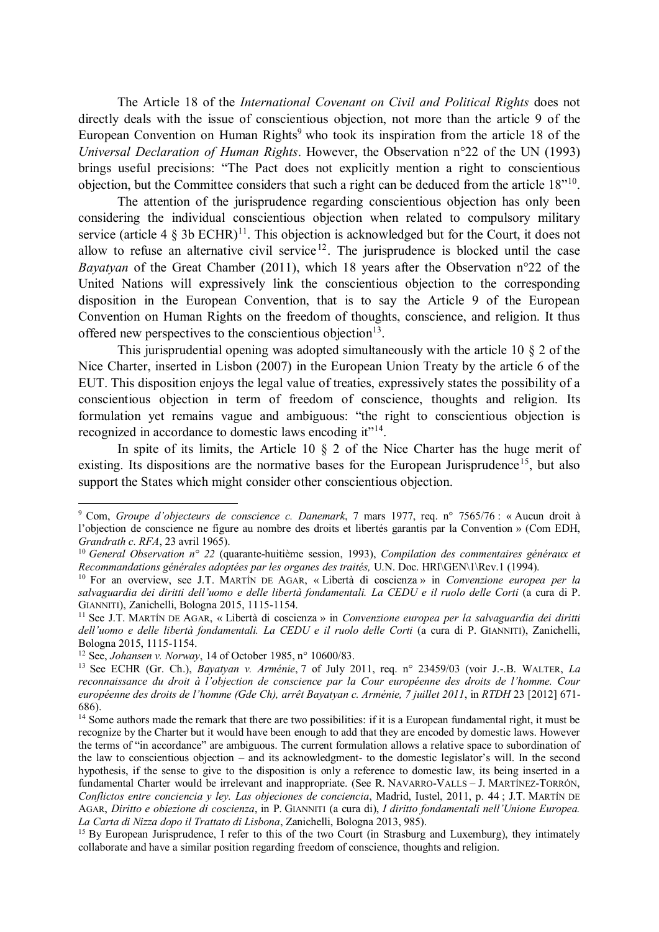The Article 18 of the *International Covenant on Civil and Political Rights* does not directly deals with the issue of conscientious objection, not more than the article 9 of the European Convention on Human Rights<sup>9</sup> who took its inspiration from the article 18 of the *Universal Declaration of Human Rights*. However, the Observation n°22 of the UN (1993) brings useful precisions: "The Pact does not explicitly mention a right to conscientious objection, but the Committee considers that such a right can be deduced from the article 18"<sup>10</sup>.

The attention of the jurisprudence regarding conscientious objection has only been considering the individual conscientious objection when related to compulsory military service (article 4  $\S$  3b ECHR)<sup>11</sup>. This objection is acknowledged but for the Court, it does not allow to refuse an alternative civil service<sup>12</sup>. The jurisprudence is blocked until the case *Bayatyan* of the Great Chamber (2011), which 18 years after the Observation n°22 of the United Nations will expressively link the conscientious objection to the corresponding disposition in the European Convention, that is to say the Article 9 of the European Convention on Human Rights on the freedom of thoughts, conscience, and religion. It thus offered new perspectives to the conscientious objection $13$ .

This jurisprudential opening was adopted simultaneously with the article 10 § 2 of the Nice Charter, inserted in Lisbon (2007) in the European Union Treaty by the article 6 of the EUT. This disposition enjoys the legal value of treaties, expressively states the possibility of a conscientious objection in term of freedom of conscience, thoughts and religion. Its formulation yet remains vague and ambiguous: "the right to conscientious objection is recognized in accordance to domestic laws encoding it"<sup>14</sup>.

In spite of its limits, the Article 10 § 2 of the Nice Charter has the huge merit of existing. Its dispositions are the normative bases for the European Jurisprudence<sup>15</sup>, but also support the States which might consider other conscientious objection.

<sup>12</sup> See, *Johansen v. Norway*, 14 of October 1985, n° 10600/83.

 $\overline{a}$ 

<sup>9</sup> Com, *Groupe d'objecteurs de conscience c. Danemark*, 7 mars 1977, req. n° 7565/76 : « Aucun droit à l'objection de conscience ne figure au nombre des droits et libertés garantis par la Convention » (Com EDH, *Grandrath c. RFA*, 23 avril 1965).

<sup>10</sup> *General Observation n° 22* (quarante-huitième session, 1993), *Compilation des commentaires généraux et Recommandations générales adoptées par les organes des traités,* U.N. Doc. HRI\GEN\1\Rev.1 (1994).

<sup>10</sup> For an overview, see J.T. MARTÍN DE AGAR, « Libertà di coscienza » in *Convenzione europea per la salvaguardia dei diritti dell'uomo e delle libertà fondamentali. La CEDU e il ruolo delle Corti* (a cura di P. GIANNITI), Zanichelli, Bologna 2015, 1115-1154.

<sup>&</sup>lt;sup>11</sup> See J.T. MARTÍN DE AGAR, « Libertà di coscienza » in *Convenzione europea per la salvaguardia dei diritti dell'uomo e delle libertà fondamentali. La CEDU e il ruolo delle Corti* (a cura di P. GIANNITI), Zanichelli, Bologna 2015, 1115-1154.

<sup>13</sup> See ECHR (Gr. Ch.), *Bayatyan v. Arménie*, 7 of July 2011, req. n° 23459/03 (voir J.-.B. WALTER, *La reconnaissance du droit à l'objection de conscience par la Cour européenne des droits de l'homme. Cour européenne des droits de l'homme (Gde Ch), arrêt Bayatyan c. Arménie, 7 juillet 2011*, in *RTDH* 23 [2012] 671- 686).

<sup>&</sup>lt;sup>14</sup> Some authors made the remark that there are two possibilities: if it is a European fundamental right, it must be recognize by the Charter but it would have been enough to add that they are encoded by domestic laws. However the terms of "in accordance" are ambiguous. The current formulation allows a relative space to subordination of the law to conscientious objection – and its acknowledgment- to the domestic legislator's will. In the second hypothesis, if the sense to give to the disposition is only a reference to domestic law, its being inserted in a fundamental Charter would be irrelevant and inappropriate. (See R. NAVARRO-VALLS – J. MARTÍNEZ-TORRÓN, *Conflictos entre conciencia y ley. Las objeciones de conciencia*, Madrid, Iustel, 2011, p. 44 ; J.T. MARTÍN DE AGAR, *Diritto e obiezione di coscienza*, in P. GIANNITI (a cura di), *I diritto fondamentali nell'Unione Europea. La Carta di Nizza dopo il Trattato di Lisbona*, Zanichelli, Bologna 2013, 985).

<sup>&</sup>lt;sup>15</sup> By European Jurisprudence, I refer to this of the two Court (in Strasburg and Luxemburg), they intimately collaborate and have a similar position regarding freedom of conscience, thoughts and religion.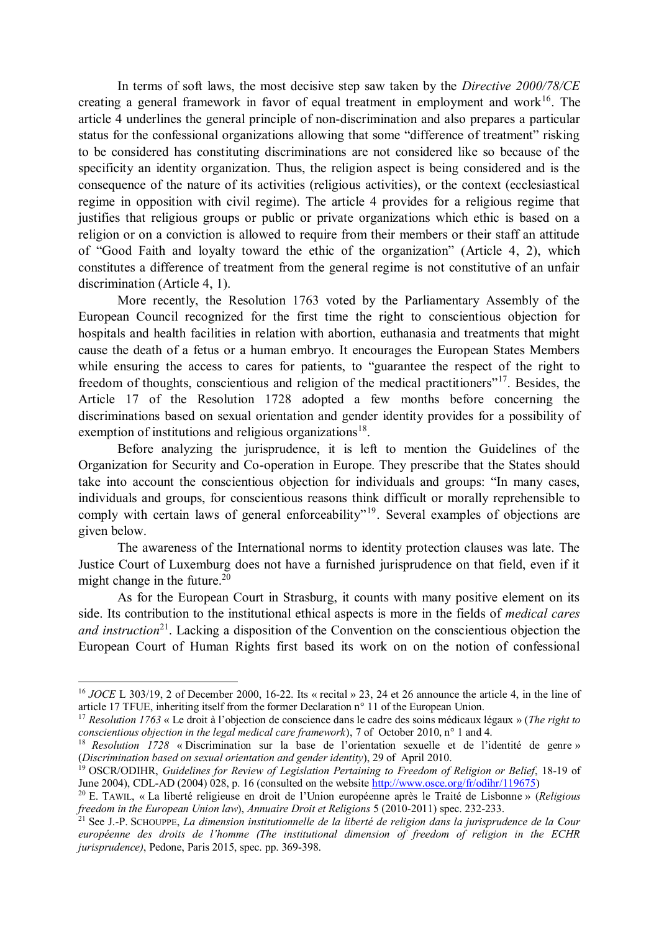In terms of soft laws, the most decisive step saw taken by the *Directive 2000/78/CE* creating a general framework in favor of equal treatment in employment and work<sup>16</sup>. The article 4 underlines the general principle of non-discrimination and also prepares a particular status for the confessional organizations allowing that some "difference of treatment" risking to be considered has constituting discriminations are not considered like so because of the specificity an identity organization. Thus, the religion aspect is being considered and is the consequence of the nature of its activities (religious activities), or the context (ecclesiastical regime in opposition with civil regime). The article 4 provides for a religious regime that justifies that religious groups or public or private organizations which ethic is based on a religion or on a conviction is allowed to require from their members or their staff an attitude of "Good Faith and loyalty toward the ethic of the organization" (Article 4, 2), which constitutes a difference of treatment from the general regime is not constitutive of an unfair discrimination (Article 4, 1).

More recently, the Resolution 1763 voted by the Parliamentary Assembly of the European Council recognized for the first time the right to conscientious objection for hospitals and health facilities in relation with abortion, euthanasia and treatments that might cause the death of a fetus or a human embryo. It encourages the European States Members while ensuring the access to cares for patients, to "guarantee the respect of the right to freedom of thoughts, conscientious and religion of the medical practitioners"<sup>17</sup>. Besides, the Article 17 of the Resolution 1728 adopted a few months before concerning the discriminations based on sexual orientation and gender identity provides for a possibility of exemption of institutions and religious organizations<sup>18</sup>.

Before analyzing the jurisprudence, it is left to mention the Guidelines of the Organization for Security and Co-operation in Europe. They prescribe that the States should take into account the conscientious objection for individuals and groups: "In many cases, individuals and groups, for conscientious reasons think difficult or morally reprehensible to comply with certain laws of general enforceability"<sup>19</sup>. Several examples of objections are given below.

The awareness of the International norms to identity protection clauses was late. The Justice Court of Luxemburg does not have a furnished jurisprudence on that field, even if it might change in the future.<sup>20</sup>

As for the European Court in Strasburg, it counts with many positive element on its side. Its contribution to the institutional ethical aspects is more in the fields of *medical cares and instruction*<sup>21</sup>. Lacking a disposition of the Convention on the conscientious objection the European Court of Human Rights first based its work on on the notion of confessional

 $\ddot{\phantom{a}}$ 

<sup>&</sup>lt;sup>16</sup> *JOCE* L 303/19, 2 of December 2000, 16-22. Its « recital » 23, 24 et 26 announce the article 4, in the line of article 17 TFUE, inheriting itself from the former Declaration n° 11 of the European Union.

<sup>17</sup> *Resolution 1763* « Le droit à l'objection de conscience dans le cadre des soins médicaux légaux » (*The right to conscientious objection in the legal medical care framework*), 7 of October 2010, n° 1 and 4.

<sup>&</sup>lt;sup>18</sup> *Resolution 1728* « Discrimination sur la base de l'orientation sexuelle et de l'identité de genre » (*Discrimination based on sexual orientation and gender identity*), 29 of April 2010.

<sup>19</sup> OSCR/ODIHR, *Guidelines for Review of Legislation Pertaining to Freedom of Religion or Belief*, 18-19 of June 2004), CDL-AD (2004) 028, p. 16 (consulted on the website http://www.osce.org/fr/odihr/119675)

<sup>20</sup> E. TAWIL, « La liberté religieuse en droit de l'Union européenne après le Traité de Lisbonne » (*Religious freedom in the European Union law*), *Annuaire Droit et Religions* 5 (2010-2011) spec. 232-233.

<sup>21</sup> See J.-P. SCHOUPPE, *La dimension institutionnelle de la liberté de religion dans la jurisprudence de la Cour européenne des droits de l'homme (The institutional dimension of freedom of religion in the ECHR jurisprudence)*, Pedone, Paris 2015, spec. pp. 369-398.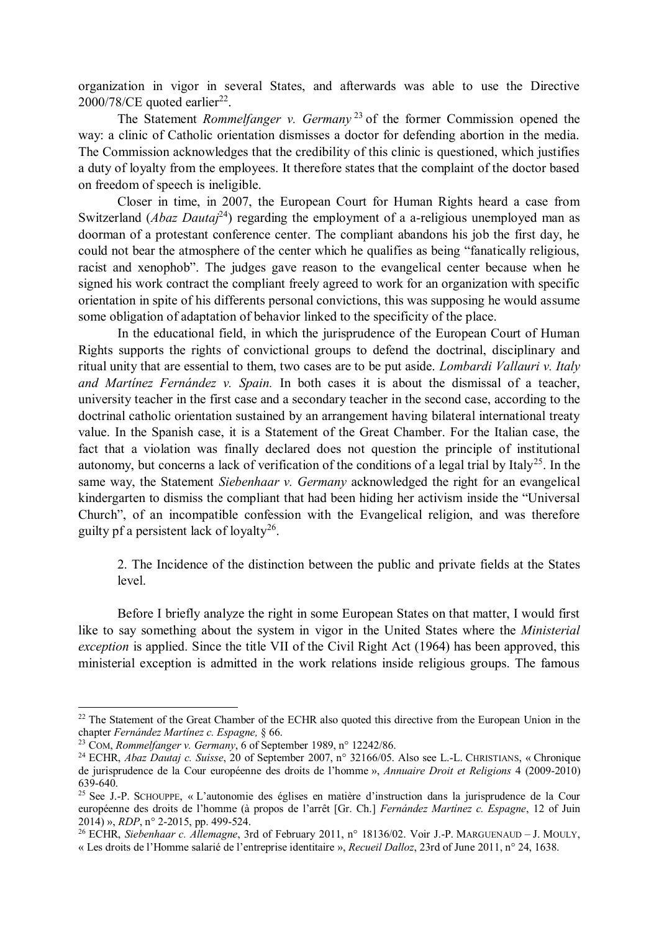organization in vigor in several States, and afterwards was able to use the Directive  $2000/78$ /CE quoted earlier<sup>22</sup>.

The Statement *Rommelfanger v. Germany* <sup>23</sup> of the former Commission opened the way: a clinic of Catholic orientation dismisses a doctor for defending abortion in the media. The Commission acknowledges that the credibility of this clinic is questioned, which justifies a duty of loyalty from the employees. It therefore states that the complaint of the doctor based on freedom of speech is ineligible.

Closer in time, in 2007, the European Court for Human Rights heard a case from Switzerland (*Abaz Dautaj*<sup>24</sup>) regarding the employment of a a-religious unemployed man as doorman of a protestant conference center. The compliant abandons his job the first day, he could not bear the atmosphere of the center which he qualifies as being "fanatically religious, racist and xenophob". The judges gave reason to the evangelical center because when he signed his work contract the compliant freely agreed to work for an organization with specific orientation in spite of his differents personal convictions, this was supposing he would assume some obligation of adaptation of behavior linked to the specificity of the place.

In the educational field, in which the jurisprudence of the European Court of Human Rights supports the rights of convictional groups to defend the doctrinal, disciplinary and ritual unity that are essential to them, two cases are to be put aside. *Lombardi Vallauri v. Italy and Martínez Fernández v. Spain.* In both cases it is about the dismissal of a teacher, university teacher in the first case and a secondary teacher in the second case, according to the doctrinal catholic orientation sustained by an arrangement having bilateral international treaty value. In the Spanish case, it is a Statement of the Great Chamber. For the Italian case, the fact that a violation was finally declared does not question the principle of institutional autonomy, but concerns a lack of verification of the conditions of a legal trial by Italy<sup>25</sup>. In the same way, the Statement *Siebenhaar v. Germany* acknowledged the right for an evangelical kindergarten to dismiss the compliant that had been hiding her activism inside the "Universal Church", of an incompatible confession with the Evangelical religion, and was therefore guilty pf a persistent lack of loyalty<sup>26</sup>.

2. The Incidence of the distinction between the public and private fields at the States level.

Before I briefly analyze the right in some European States on that matter, I would first like to say something about the system in vigor in the United States where the *Ministerial exception* is applied. Since the title VII of the Civil Right Act (1964) has been approved, this ministerial exception is admitted in the work relations inside religious groups. The famous

 $\overline{a}$ 

<sup>&</sup>lt;sup>22</sup> The Statement of the Great Chamber of the ECHR also quoted this directive from the European Union in the chapter *Fernández Martínez c. Espagne,* § 66.

<sup>23</sup> COM, *Rommelfanger v. Germany*, 6 of September 1989, n° 12242/86.

<sup>24</sup> ECHR, *Abaz Dautaj c. Suisse*, 20 of September 2007, n° 32166/05. Also see L.-L. CHRISTIANS, « Chronique de jurisprudence de la Cour européenne des droits de l'homme », *Annuaire Droit et Religions* 4 (2009-2010) 639-640.

<sup>25</sup> See J.-P. SCHOUPPE, « L'autonomie des églises en matière d'instruction dans la jurisprudence de la Cour européenne des droits de l'homme (à propos de l'arrêt [Gr. Ch.] *Fernández Martínez c. Espagne*, 12 of Juin 2014) », *RDP*, n° 2-2015, pp. 499-524.

<sup>26</sup> ECHR, *Siebenhaar c. Allemagne*, 3rd of February 2011, n° 18136/02. Voir J.-P. MARGUENAUD – J. MOULY, « Les droits de l'Homme salarié de l'entreprise identitaire », *Recueil Dalloz*, 23rd of June 2011, n° 24, 1638.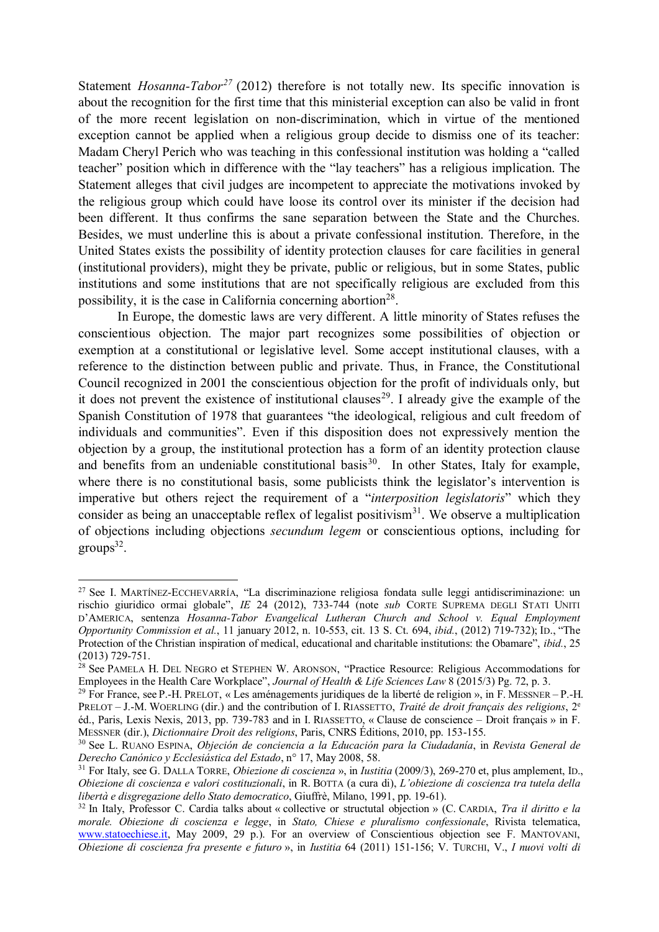Statement *Hosanna-Tabor<sup>27</sup>* (2012) therefore is not totally new. Its specific innovation is about the recognition for the first time that this ministerial exception can also be valid in front of the more recent legislation on non-discrimination, which in virtue of the mentioned exception cannot be applied when a religious group decide to dismiss one of its teacher: Madam Cheryl Perich who was teaching in this confessional institution was holding a "called teacher" position which in difference with the "lay teachers" has a religious implication. The Statement alleges that civil judges are incompetent to appreciate the motivations invoked by the religious group which could have loose its control over its minister if the decision had been different. It thus confirms the sane separation between the State and the Churches. Besides, we must underline this is about a private confessional institution. Therefore, in the United States exists the possibility of identity protection clauses for care facilities in general (institutional providers), might they be private, public or religious, but in some States, public institutions and some institutions that are not specifically religious are excluded from this possibility, it is the case in California concerning abortion<sup>28</sup>.

In Europe, the domestic laws are very different. A little minority of States refuses the conscientious objection. The major part recognizes some possibilities of objection or exemption at a constitutional or legislative level. Some accept institutional clauses, with a reference to the distinction between public and private. Thus, in France, the Constitutional Council recognized in 2001 the conscientious objection for the profit of individuals only, but it does not prevent the existence of institutional clauses<sup>29</sup>. I already give the example of the Spanish Constitution of 1978 that guarantees "the ideological, religious and cult freedom of individuals and communities". Even if this disposition does not expressively mention the objection by a group, the institutional protection has a form of an identity protection clause and benefits from an undeniable constitutional basis<sup>30</sup>. In other States, Italy for example, where there is no constitutional basis, some publicists think the legislator's intervention is imperative but others reject the requirement of a "*interposition legislatoris*" which they consider as being an unacceptable reflex of legalist positivism<sup>31</sup>. We observe a multiplication of objections including objections *secundum legem* or conscientious options, including for  $groups<sup>32</sup>$ .

 $\ddot{\phantom{a}}$ <sup>27</sup> See I. MARTÍNEZ-ECCHEVARRÍA, "La discriminazione religiosa fondata sulle leggi antidiscriminazione: un rischio giuridico ormai globale", *IE* 24 (2012), 733-744 (note *sub* CORTE SUPREMA DEGLI STATI UNITI D'AMERICA, sentenza *Hosanna-Tabor Evangelical Lutheran Church and School v. Equal Employment Opportunity Commission et al.*, 11 january 2012, n. 10-553, cit. 13 S. Ct. 694, *ibid.*, (2012) 719-732); ID., "The Protection of the Christian inspiration of medical, educational and charitable institutions: the Obamare", *ibid.*, 25 (2013) 729-751.

<sup>&</sup>lt;sup>28</sup> See PAMELA H. DEL NEGRO et STEPHEN W. ARONSON, "Practice Resource: Religious Accommodations for Employees in the Health Care Workplace", *Journal of Health & Life Sciences Law* 8 (2015/3) Pg. 72, p. 3.

<sup>&</sup>lt;sup>29</sup> For France, see P.-H. PRELOT, « Les aménagements juridiques de la liberté de religion », in F. MESSNER – P.-H. PRELOT – J.-M. WOERLING (dir.) and the contribution of I. RIASSETTO, *Traité de droit français des religions*, 2<sup>e</sup> éd., Paris, Lexis Nexis, 2013, pp. 739-783 and in I. RIASSETTO, « Clause de conscience – Droit français » in F. MESSNER (dir.), *Dictionnaire Droit des religions*, Paris, CNRS Éditions, 2010, pp. 153-155.

<sup>30</sup> See L. RUANO ESPINA, *Objeción de conciencia a la Educación para la Ciudadanía*, in *Revista General de Derecho Canónico y Ecclesiástica del Estado*, n° 17, May 2008, 58.

<sup>31</sup> For Italy, see G. DALLA TORRE, *Obiezione di coscienza* », in *Iustitia* (2009/3), 269-270 et, plus amplement, ID., *Obiezione di coscienza e valori costituzionali*, in R. BOTTA (a cura di), *L'obiezione di coscienza tra tutela della libertà e disgregazione dello Stato democratico*, Giuffrè, Milano, 1991, pp. 19-61).

<sup>32</sup> In Italy, Professor C. Cardia talks about « collective or structutal objection » (C. CARDIA, *Tra il diritto e la morale. Obiezione di coscienza e legge*, in *Stato, Chiese e pluralismo confessionale*, Rivista telematica, www.statoechiese.it, May 2009, 29 p.). For an overview of Conscientious objection see F. MANTOVANI, *Obiezione di coscienza fra presente e futuro* », in *Iustitia* 64 (2011) 151-156; V. TURCHI, V., *I nuovi volti di*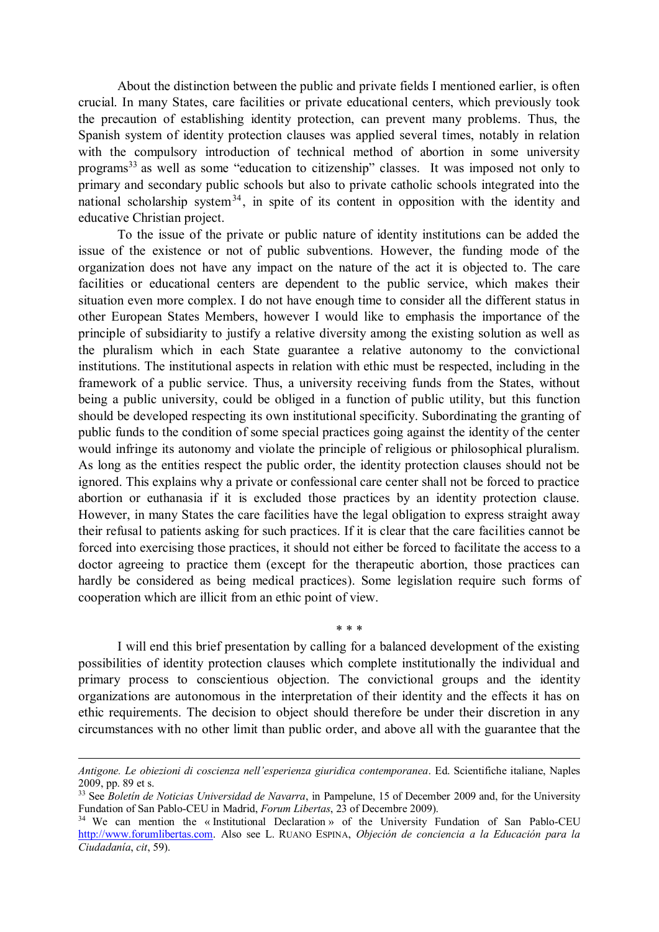About the distinction between the public and private fields I mentioned earlier, is often crucial. In many States, care facilities or private educational centers, which previously took the precaution of establishing identity protection, can prevent many problems. Thus, the Spanish system of identity protection clauses was applied several times, notably in relation with the compulsory introduction of technical method of abortion in some university programs<sup>33</sup> as well as some "education to citizenship" classes. It was imposed not only to primary and secondary public schools but also to private catholic schools integrated into the national scholarship system<sup>34</sup>, in spite of its content in opposition with the identity and educative Christian project.

To the issue of the private or public nature of identity institutions can be added the issue of the existence or not of public subventions. However, the funding mode of the organization does not have any impact on the nature of the act it is objected to. The care facilities or educational centers are dependent to the public service, which makes their situation even more complex. I do not have enough time to consider all the different status in other European States Members, however I would like to emphasis the importance of the principle of subsidiarity to justify a relative diversity among the existing solution as well as the pluralism which in each State guarantee a relative autonomy to the convictional institutions. The institutional aspects in relation with ethic must be respected, including in the framework of a public service. Thus, a university receiving funds from the States, without being a public university, could be obliged in a function of public utility, but this function should be developed respecting its own institutional specificity. Subordinating the granting of public funds to the condition of some special practices going against the identity of the center would infringe its autonomy and violate the principle of religious or philosophical pluralism. As long as the entities respect the public order, the identity protection clauses should not be ignored. This explains why a private or confessional care center shall not be forced to practice abortion or euthanasia if it is excluded those practices by an identity protection clause. However, in many States the care facilities have the legal obligation to express straight away their refusal to patients asking for such practices. If it is clear that the care facilities cannot be forced into exercising those practices, it should not either be forced to facilitate the access to a doctor agreeing to practice them (except for the therapeutic abortion, those practices can hardly be considered as being medical practices). Some legislation require such forms of cooperation which are illicit from an ethic point of view.

I will end this brief presentation by calling for a balanced development of the existing possibilities of identity protection clauses which complete institutionally the individual and primary process to conscientious objection. The convictional groups and the identity organizations are autonomous in the interpretation of their identity and the effects it has on ethic requirements. The decision to object should therefore be under their discretion in any circumstances with no other limit than public order, and above all with the guarantee that the

\* \* \*

 $\ddot{\phantom{a}}$ 

*Antigone. Le obiezioni di coscienza nell'esperienza giuridica contemporanea*. Ed. Scientifiche italiane, Naples 2009, pp. 89 et s.

<sup>33</sup> See *Boletín de Noticias Universidad de Navarra*, in Pampelune, 15 of December 2009 and, for the University Fundation of San Pablo-CEU in Madrid, *Forum Libertas*, 23 of Decembre 2009).

<sup>&</sup>lt;sup>34</sup> We can mention the « Institutional Declaration » of the University Fundation of San Pablo-CEU http://www.forumlibertas.com. Also see L. RUANO ESPINA, *Objeción de conciencia a la Educación para la Ciudadanía*, *cit*, 59).